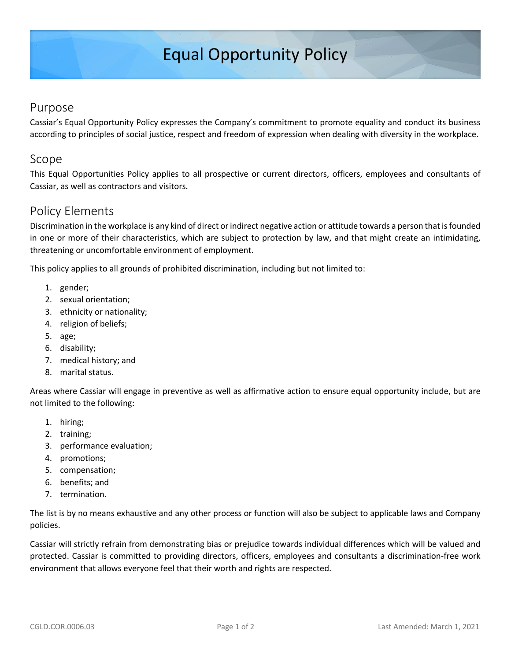# Equal Opportunity Policy

### Purpose

Cassiar's Equal Opportunity Policy expresses the Company's commitment to promote equality and conduct its business according to principles of social justice, respect and freedom of expression when dealing with diversity in the workplace.

### Scope

This Equal Opportunities Policy applies to all prospective or current directors, officers, employees and consultants of Cassiar, as well as contractors and visitors.

### Policy Elements

Discrimination in the workplace is any kind of direct orindirect negative action or attitude towards a person that is founded in one or more of their characteristics, which are subject to protection by law, and that might create an intimidating, threatening or uncomfortable environment of employment.

This policy applies to all grounds of prohibited discrimination, including but not limited to:

- 1. gender;
- 2. sexual orientation;
- 3. ethnicity or nationality;
- 4. religion of beliefs;
- 5. age;
- 6. disability;
- 7. medical history; and
- 8. marital status.

Areas where Cassiar will engage in preventive as well as affirmative action to ensure equal opportunity include, but are not limited to the following:

- 1. hiring;
- 2. training;
- 3. performance evaluation;
- 4. promotions;
- 5. compensation;
- 6. benefits; and
- 7. termination.

The list is by no means exhaustive and any other process or function will also be subject to applicable laws and Company policies.

Cassiar will strictly refrain from demonstrating bias or prejudice towards individual differences which will be valued and protected. Cassiar is committed to providing directors, officers, employees and consultants a discrimination-free work environment that allows everyone feel that their worth and rights are respected.